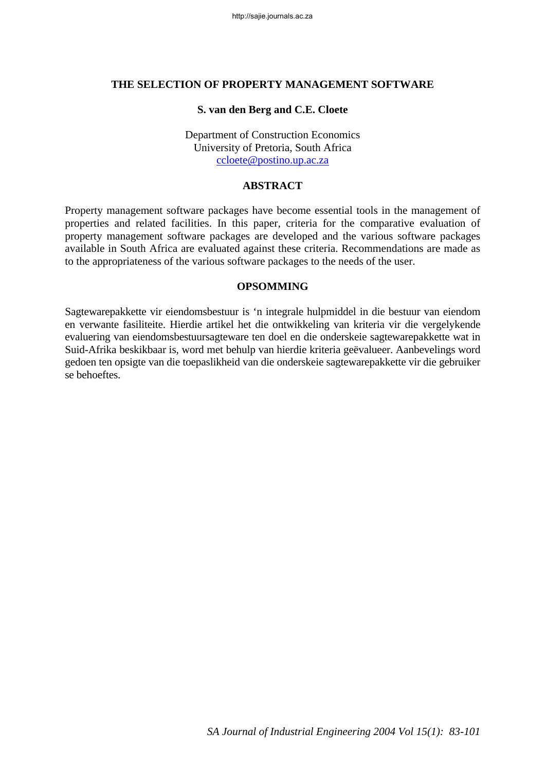#### **THE SELECTION OF PROPERTY MANAGEMENT SOFTWARE**

#### **S. van den Berg and C.E. Cloete**

Department of Construction Economics University of Pretoria, South Africa [ccloete@postino.up.ac.za](mailto:ccloete@postino.up.ac.za)

### **ABSTRACT**

Property management software packages have become essential tools in the management of properties and related facilities. In this paper, criteria for the comparative evaluation of property management software packages are developed and the various software packages available in South Africa are evaluated against these criteria. Recommendations are made as to the appropriateness of the various software packages to the needs of the user.

#### **OPSOMMING**

Sagtewarepakkette vir eiendomsbestuur is 'n integrale hulpmiddel in die bestuur van eiendom en verwante fasiliteite. Hierdie artikel het die ontwikkeling van kriteria vir die vergelykende evaluering van eiendomsbestuursagteware ten doel en die onderskeie sagtewarepakkette wat in Suid-Afrika beskikbaar is, word met behulp van hierdie kriteria geëvalueer. Aanbevelings word gedoen ten opsigte van die toepaslikheid van die onderskeie sagtewarepakkette vir die gebruiker se behoeftes.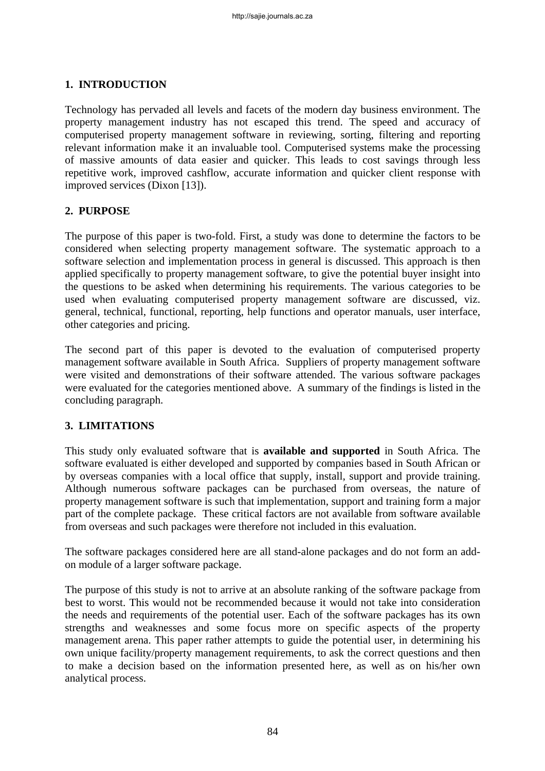## **1. INTRODUCTION**

Technology has pervaded all levels and facets of the modern day business environment. The property management industry has not escaped this trend. The speed and accuracy of computerised property management software in reviewing, sorting, filtering and reporting relevant information make it an invaluable tool. Computerised systems make the processing of massive amounts of data easier and quicker. This leads to cost savings through less repetitive work, improved cashflow, accurate information and quicker client response with improved services (Dixon [13]).

## **2. PURPOSE**

The purpose of this paper is two-fold. First, a study was done to determine the factors to be considered when selecting property management software. The systematic approach to a software selection and implementation process in general is discussed. This approach is then applied specifically to property management software, to give the potential buyer insight into the questions to be asked when determining his requirements. The various categories to be used when evaluating computerised property management software are discussed, viz. general, technical, functional, reporting, help functions and operator manuals, user interface, other categories and pricing.

The second part of this paper is devoted to the evaluation of computerised property management software available in South Africa. Suppliers of property management software were visited and demonstrations of their software attended. The various software packages were evaluated for the categories mentioned above. A summary of the findings is listed in the concluding paragraph.

## **3. LIMITATIONS**

This study only evaluated software that is **available and supported** in South Africa. The software evaluated is either developed and supported by companies based in South African or by overseas companies with a local office that supply, install, support and provide training. Although numerous software packages can be purchased from overseas, the nature of property management software is such that implementation, support and training form a major part of the complete package. These critical factors are not available from software available from overseas and such packages were therefore not included in this evaluation.

The software packages considered here are all stand-alone packages and do not form an addon module of a larger software package.

The purpose of this study is not to arrive at an absolute ranking of the software package from best to worst. This would not be recommended because it would not take into consideration the needs and requirements of the potential user. Each of the software packages has its own strengths and weaknesses and some focus more on specific aspects of the property management arena. This paper rather attempts to guide the potential user, in determining his own unique facility/property management requirements, to ask the correct questions and then to make a decision based on the information presented here, as well as on his/her own analytical process.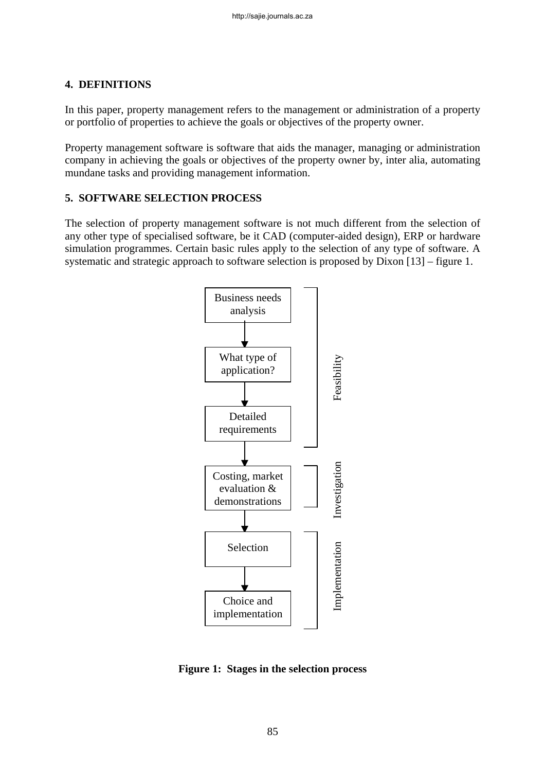### **4. DEFINITIONS**

In this paper, property management refers to the management or administration of a property or portfolio of properties to achieve the goals or objectives of the property owner.

Property management software is software that aids the manager, managing or administration company in achieving the goals or objectives of the property owner by, inter alia, automating mundane tasks and providing management information.

#### **5. SOFTWARE SELECTION PROCESS**

The selection of property management software is not much different from the selection of any other type of specialised software, be it CAD (computer-aided design), ERP or hardware simulation programmes. Certain basic rules apply to the selection of any type of software. A systematic and strategic approach to software selection is proposed by Dixon [13] – figure 1.



**Figure 1: Stages in the selection process**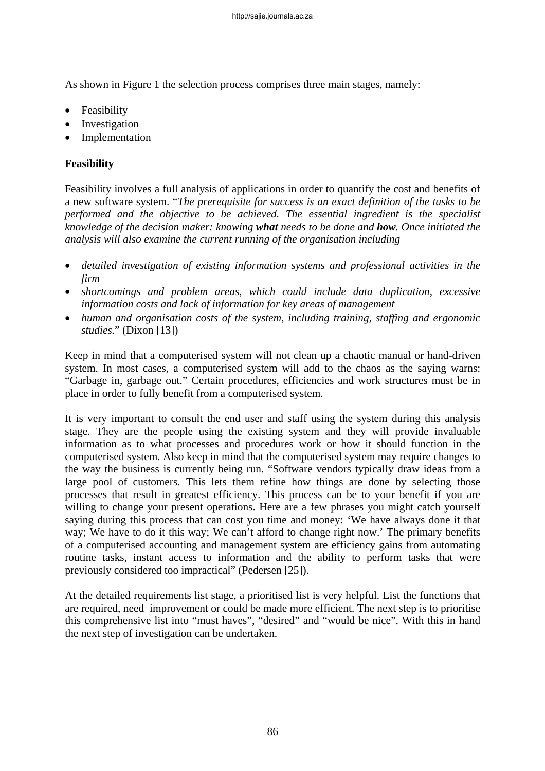As shown in Figure 1 the selection process comprises three main stages, namely:

- Feasibility
- Investigation
- **Implementation**

# **Feasibility**

Feasibility involves a full analysis of applications in order to quantify the cost and benefits of a new software system. "*The prerequisite for success is an exact definition of the tasks to be performed and the objective to be achieved. The essential ingredient is the specialist knowledge of the decision maker: knowing what needs to be done and how. Once initiated the analysis will also examine the current running of the organisation including* 

- *detailed investigation of existing information systems and professional activities in the firm*
- *shortcomings and problem areas, which could include data duplication, excessive information costs and lack of information for key areas of management*
- *human and organisation costs of the system, including training, staffing and ergonomic studies.*" (Dixon [13])

Keep in mind that a computerised system will not clean up a chaotic manual or hand-driven system. In most cases, a computerised system will add to the chaos as the saying warns: "Garbage in, garbage out." Certain procedures, efficiencies and work structures must be in place in order to fully benefit from a computerised system.

It is very important to consult the end user and staff using the system during this analysis stage. They are the people using the existing system and they will provide invaluable information as to what processes and procedures work or how it should function in the computerised system. Also keep in mind that the computerised system may require changes to the way the business is currently being run. "Software vendors typically draw ideas from a large pool of customers. This lets them refine how things are done by selecting those processes that result in greatest efficiency. This process can be to your benefit if you are willing to change your present operations. Here are a few phrases you might catch yourself saying during this process that can cost you time and money: 'We have always done it that way; We have to do it this way; We can't afford to change right now.' The primary benefits of a computerised accounting and management system are efficiency gains from automating routine tasks, instant access to information and the ability to perform tasks that were previously considered too impractical" (Pedersen [25]).

At the detailed requirements list stage, a prioritised list is very helpful. List the functions that are required, need improvement or could be made more efficient. The next step is to prioritise this comprehensive list into "must haves", "desired" and "would be nice". With this in hand the next step of investigation can be undertaken.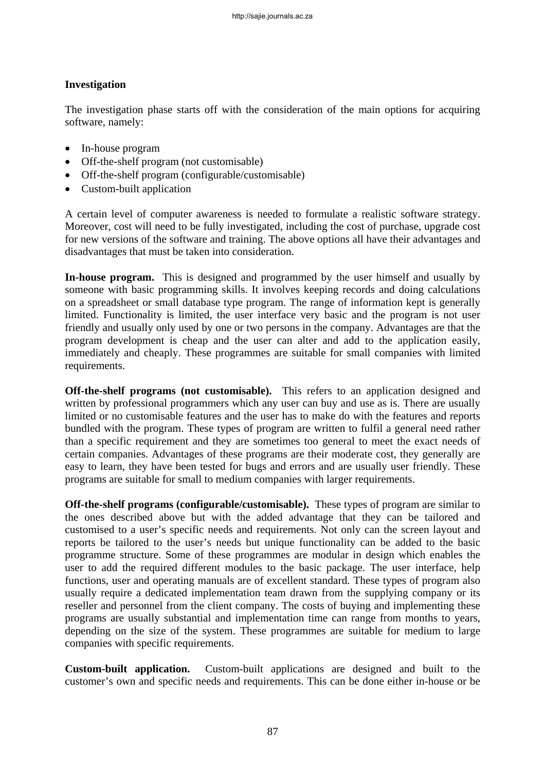### **Investigation**

The investigation phase starts off with the consideration of the main options for acquiring software, namely:

- In-house program
- Off-the-shelf program (not customisable)
- Off-the-shelf program (configurable/customisable)
- Custom-built application

A certain level of computer awareness is needed to formulate a realistic software strategy. Moreover, cost will need to be fully investigated, including the cost of purchase, upgrade cost for new versions of the software and training. The above options all have their advantages and disadvantages that must be taken into consideration.

In-house program. This is designed and programmed by the user himself and usually by someone with basic programming skills. It involves keeping records and doing calculations on a spreadsheet or small database type program. The range of information kept is generally limited. Functionality is limited, the user interface very basic and the program is not user friendly and usually only used by one or two persons in the company. Advantages are that the program development is cheap and the user can alter and add to the application easily, immediately and cheaply. These programmes are suitable for small companies with limited requirements.

**Off-the-shelf programs (not customisable).** This refers to an application designed and written by professional programmers which any user can buy and use as is. There are usually limited or no customisable features and the user has to make do with the features and reports bundled with the program. These types of program are written to fulfil a general need rather than a specific requirement and they are sometimes too general to meet the exact needs of certain companies. Advantages of these programs are their moderate cost, they generally are easy to learn, they have been tested for bugs and errors and are usually user friendly. These programs are suitable for small to medium companies with larger requirements.

**Off-the-shelf programs (configurable/customisable).** These types of program are similar to the ones described above but with the added advantage that they can be tailored and customised to a user's specific needs and requirements. Not only can the screen layout and reports be tailored to the user's needs but unique functionality can be added to the basic programme structure. Some of these programmes are modular in design which enables the user to add the required different modules to the basic package. The user interface, help functions, user and operating manuals are of excellent standard. These types of program also usually require a dedicated implementation team drawn from the supplying company or its reseller and personnel from the client company. The costs of buying and implementing these programs are usually substantial and implementation time can range from months to years, depending on the size of the system. These programmes are suitable for medium to large companies with specific requirements.

**Custom-built application.** Custom-built applications are designed and built to the customer's own and specific needs and requirements. This can be done either in-house or be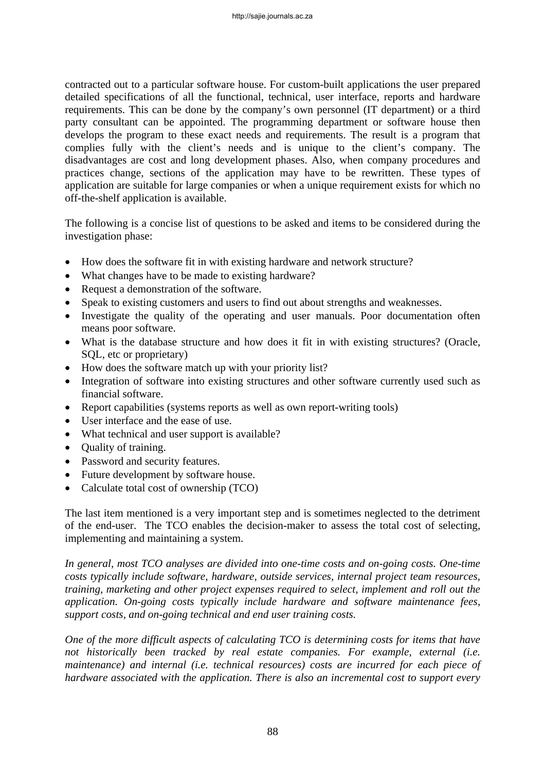contracted out to a particular software house. For custom-built applications the user prepared detailed specifications of all the functional, technical, user interface, reports and hardware requirements. This can be done by the company's own personnel (IT department) or a third party consultant can be appointed. The programming department or software house then develops the program to these exact needs and requirements. The result is a program that complies fully with the client's needs and is unique to the client's company. The disadvantages are cost and long development phases. Also, when company procedures and practices change, sections of the application may have to be rewritten. These types of application are suitable for large companies or when a unique requirement exists for which no off-the-shelf application is available.

The following is a concise list of questions to be asked and items to be considered during the investigation phase:

- How does the software fit in with existing hardware and network structure?
- What changes have to be made to existing hardware?
- Request a demonstration of the software.
- Speak to existing customers and users to find out about strengths and weaknesses.
- Investigate the quality of the operating and user manuals. Poor documentation often means poor software.
- What is the database structure and how does it fit in with existing structures? (Oracle, SQL, etc or proprietary)
- How does the software match up with your priority list?
- Integration of software into existing structures and other software currently used such as financial software.
- Report capabilities (systems reports as well as own report-writing tools)
- User interface and the ease of use.
- What technical and user support is available?
- Ouality of training.
- Password and security features.
- Future development by software house.
- Calculate total cost of ownership (TCO)

The last item mentioned is a very important step and is sometimes neglected to the detriment of the end-user. The TCO enables the decision-maker to assess the total cost of selecting, implementing and maintaining a system.

*In general, most TCO analyses are divided into one-time costs and on-going costs. One-time costs typically include software, hardware, outside services, internal project team resources, training, marketing and other project expenses required to select, implement and roll out the application. On-going costs typically include hardware and software maintenance fees, support costs, and on-going technical and end user training costs.* 

*One of the more difficult aspects of calculating TCO is determining costs for items that have not historically been tracked by real estate companies. For example, external (i.e. maintenance) and internal (i.e. technical resources) costs are incurred for each piece of hardware associated with the application. There is also an incremental cost to support every*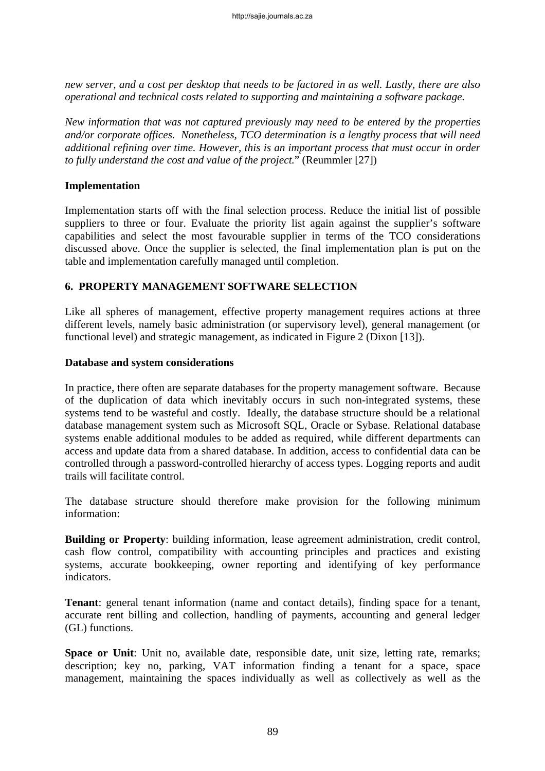*new server, and a cost per desktop that needs to be factored in as well. Lastly, there are also operational and technical costs related to supporting and maintaining a software package.* 

*New information that was not captured previously may need to be entered by the properties and/or corporate offices. Nonetheless, TCO determination is a lengthy process that will need additional refining over time. However, this is an important process that must occur in order to fully understand the cost and value of the project.*" (Reummler [27])

### **Implementation**

Implementation starts off with the final selection process. Reduce the initial list of possible suppliers to three or four. Evaluate the priority list again against the supplier's software capabilities and select the most favourable supplier in terms of the TCO considerations discussed above. Once the supplier is selected, the final implementation plan is put on the table and implementation carefully managed until completion.

### **6. PROPERTY MANAGEMENT SOFTWARE SELECTION**

Like all spheres of management, effective property management requires actions at three different levels, namely basic administration (or supervisory level), general management (or functional level) and strategic management, as indicated in Figure 2 (Dixon [13]).

#### **Database and system considerations**

In practice, there often are separate databases for the property management software. Because of the duplication of data which inevitably occurs in such non-integrated systems, these systems tend to be wasteful and costly. Ideally, the database structure should be a relational database management system such as Microsoft SQL, Oracle or Sybase. Relational database systems enable additional modules to be added as required, while different departments can access and update data from a shared database. In addition, access to confidential data can be controlled through a password-controlled hierarchy of access types. Logging reports and audit trails will facilitate control.

The database structure should therefore make provision for the following minimum information:

**Building or Property**: building information, lease agreement administration, credit control, cash flow control, compatibility with accounting principles and practices and existing systems, accurate bookkeeping, owner reporting and identifying of key performance indicators.

**Tenant**: general tenant information (name and contact details), finding space for a tenant, accurate rent billing and collection, handling of payments, accounting and general ledger (GL) functions.

**Space or Unit**: Unit no, available date, responsible date, unit size, letting rate, remarks; description; key no, parking, VAT information finding a tenant for a space, space management, maintaining the spaces individually as well as collectively as well as the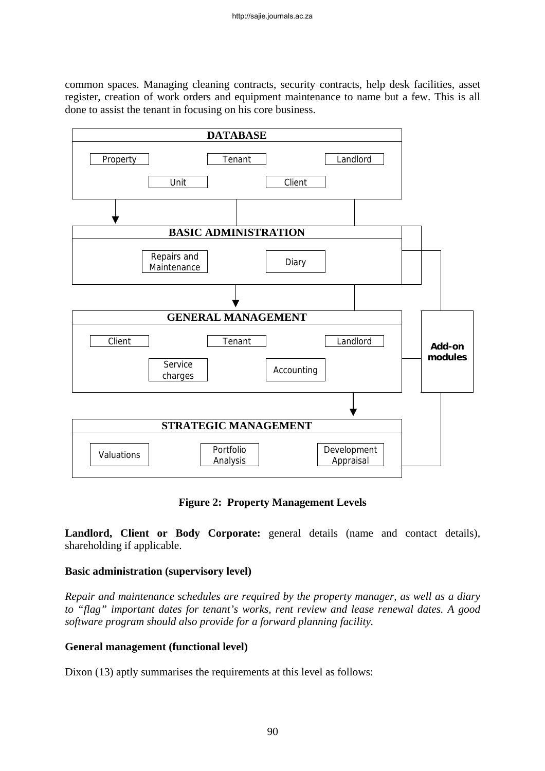common spaces. Managing cleaning contracts, security contracts, help desk facilities, asset register, creation of work orders and equipment maintenance to name but a few. This is all done to assist the tenant in focusing on his core business.



**Figure 2: Property Management Levels** 

**Landlord, Client or Body Corporate:** general details (name and contact details), shareholding if applicable.

## **Basic administration (supervisory level)**

*Repair and maintenance schedules are required by the property manager, as well as a diary to "flag" important dates for tenant's works, rent review and lease renewal dates. A good software program should also provide for a forward planning facility.* 

## **General management (functional level)**

Dixon (13) aptly summarises the requirements at this level as follows: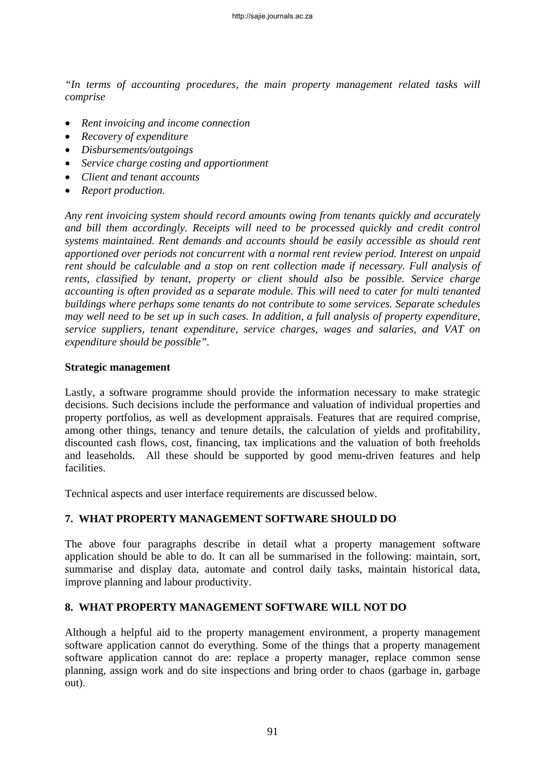*"In terms of accounting procedures, the main property management related tasks will comprise* 

- *Rent invoicing and income connection*
- *Recovery of expenditure*
- *Disbursements/outgoings*
- *Service charge costing and apportionment*
- *Client and tenant accounts*
- *Report production.*

*Any rent invoicing system should record amounts owing from tenants quickly and accurately and bill them accordingly. Receipts will need to be processed quickly and credit control systems maintained. Rent demands and accounts should be easily accessible as should rent apportioned over periods not concurrent with a normal rent review period. Interest on unpaid rent should be calculable and a stop on rent collection made if necessary. Full analysis of rents, classified by tenant, property or client should also be possible. Service charge accounting is often provided as a separate module. This will need to cater for multi tenanted buildings where perhaps some tenants do not contribute to some services. Separate schedules may well need to be set up in such cases. In addition, a full analysis of property expenditure, service suppliers, tenant expenditure, service charges, wages and salaries, and VAT on expenditure should be possible".* 

#### **Strategic management**

Lastly, a software programme should provide the information necessary to make strategic decisions. Such decisions include the performance and valuation of individual properties and property portfolios, as well as development appraisals. Features that are required comprise, among other things, tenancy and tenure details, the calculation of yields and profitability, discounted cash flows, cost, financing, tax implications and the valuation of both freeholds and leaseholds. All these should be supported by good menu-driven features and help facilities.

Technical aspects and user interface requirements are discussed below.

## **7. WHAT PROPERTY MANAGEMENT SOFTWARE SHOULD DO**

The above four paragraphs describe in detail what a property management software application should be able to do. It can all be summarised in the following: maintain, sort, summarise and display data, automate and control daily tasks, maintain historical data, improve planning and labour productivity.

## **8. WHAT PROPERTY MANAGEMENT SOFTWARE WILL NOT DO**

Although a helpful aid to the property management environment, a property management software application cannot do everything. Some of the things that a property management software application cannot do are: replace a property manager, replace common sense planning, assign work and do site inspections and bring order to chaos (garbage in, garbage out).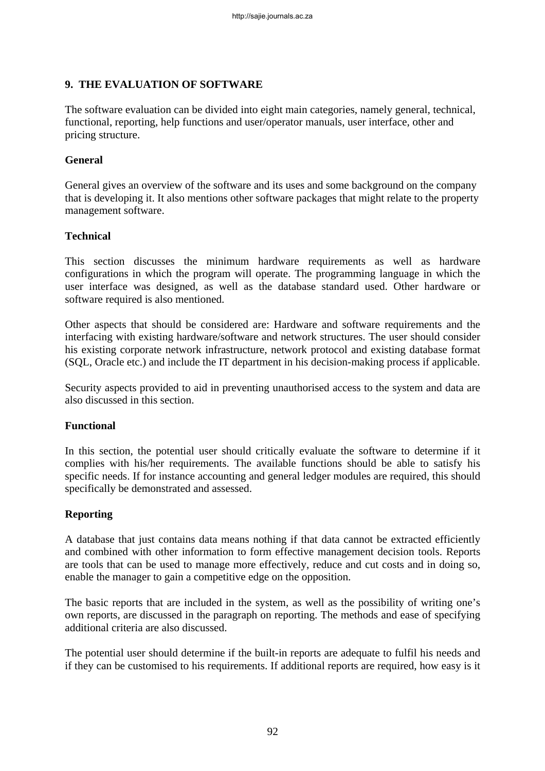## **9. THE EVALUATION OF SOFTWARE**

The software evaluation can be divided into eight main categories, namely general, technical, functional, reporting, help functions and user/operator manuals, user interface, other and pricing structure.

## **General**

General gives an overview of the software and its uses and some background on the company that is developing it. It also mentions other software packages that might relate to the property management software.

## **Technical**

This section discusses the minimum hardware requirements as well as hardware configurations in which the program will operate. The programming language in which the user interface was designed, as well as the database standard used. Other hardware or software required is also mentioned.

Other aspects that should be considered are: Hardware and software requirements and the interfacing with existing hardware/software and network structures. The user should consider his existing corporate network infrastructure, network protocol and existing database format (SQL, Oracle etc.) and include the IT department in his decision-making process if applicable.

Security aspects provided to aid in preventing unauthorised access to the system and data are also discussed in this section.

#### **Functional**

In this section, the potential user should critically evaluate the software to determine if it complies with his/her requirements. The available functions should be able to satisfy his specific needs. If for instance accounting and general ledger modules are required, this should specifically be demonstrated and assessed.

## **Reporting**

A database that just contains data means nothing if that data cannot be extracted efficiently and combined with other information to form effective management decision tools. Reports are tools that can be used to manage more effectively, reduce and cut costs and in doing so, enable the manager to gain a competitive edge on the opposition.

The basic reports that are included in the system, as well as the possibility of writing one's own reports, are discussed in the paragraph on reporting. The methods and ease of specifying additional criteria are also discussed.

The potential user should determine if the built-in reports are adequate to fulfil his needs and if they can be customised to his requirements. If additional reports are required, how easy is it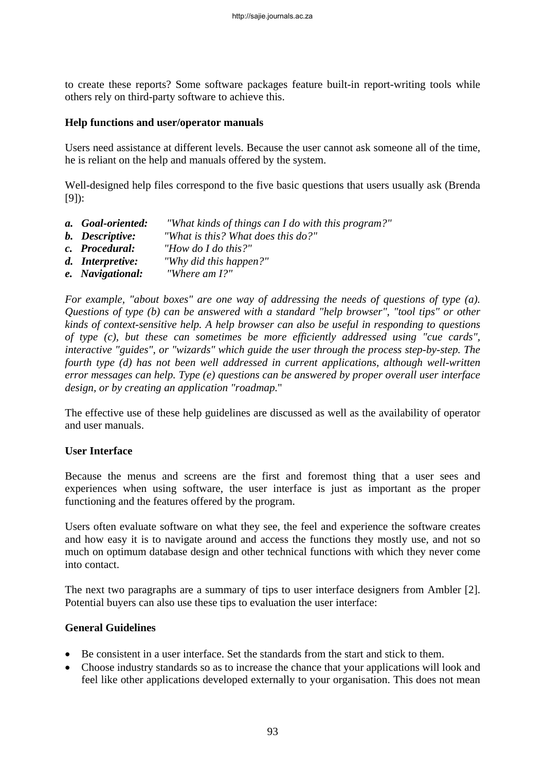to create these reports? Some software packages feature built-in report-writing tools while others rely on third-party software to achieve this.

#### **Help functions and user/operator manuals**

Users need assistance at different levels. Because the user cannot ask someone all of the time, he is reliant on the help and manuals offered by the system.

Well-designed help files correspond to the five basic questions that users usually ask (Brenda [9]):

- *a. Goal-oriented: "What kinds of things can I do with this program?"*
- *b. Descriptive: "What is this? What does this do?"*
- *c. Procedural: "How do I do this?"*
- *d. Interpretive: "Why did this happen?"*
- *e. Navigational: "Where am I?"*

*For example, "about boxes" are one way of addressing the needs of questions of type (a). Questions of type (b) can be answered with a standard "help browser", "tool tips" or other kinds of context-sensitive help. A help browser can also be useful in responding to questions of type (c), but these can sometimes be more efficiently addressed using "cue cards", interactive "guides", or "wizards" which guide the user through the process step-by-step. The fourth type (d) has not been well addressed in current applications, although well-written error messages can help. Type (e) questions can be answered by proper overall user interface design, or by creating an application "roadmap.*"

The effective use of these help guidelines are discussed as well as the availability of operator and user manuals.

#### **User Interface**

Because the menus and screens are the first and foremost thing that a user sees and experiences when using software, the user interface is just as important as the proper functioning and the features offered by the program.

Users often evaluate software on what they see, the feel and experience the software creates and how easy it is to navigate around and access the functions they mostly use, and not so much on optimum database design and other technical functions with which they never come into contact.

The next two paragraphs are a summary of tips to user interface designers from Ambler [2]. Potential buyers can also use these tips to evaluation the user interface:

#### **General Guidelines**

- Be consistent in a user interface. Set the standards from the start and stick to them.
- Choose industry standards so as to increase the chance that your applications will look and feel like other applications developed externally to your organisation. This does not mean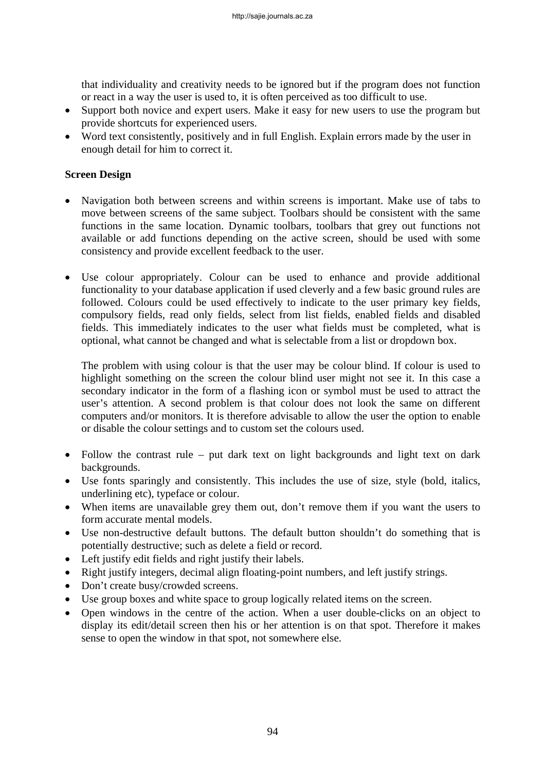that individuality and creativity needs to be ignored but if the program does not function or react in a way the user is used to, it is often perceived as too difficult to use.

- Support both novice and expert users. Make it easy for new users to use the program but provide shortcuts for experienced users.
- Word text consistently, positively and in full English. Explain errors made by the user in enough detail for him to correct it.

### **Screen Design**

- Navigation both between screens and within screens is important. Make use of tabs to move between screens of the same subject. Toolbars should be consistent with the same functions in the same location. Dynamic toolbars, toolbars that grey out functions not available or add functions depending on the active screen, should be used with some consistency and provide excellent feedback to the user.
- Use colour appropriately. Colour can be used to enhance and provide additional functionality to your database application if used cleverly and a few basic ground rules are followed. Colours could be used effectively to indicate to the user primary key fields, compulsory fields, read only fields, select from list fields, enabled fields and disabled fields. This immediately indicates to the user what fields must be completed, what is optional, what cannot be changed and what is selectable from a list or dropdown box.

The problem with using colour is that the user may be colour blind. If colour is used to highlight something on the screen the colour blind user might not see it. In this case a secondary indicator in the form of a flashing icon or symbol must be used to attract the user's attention. A second problem is that colour does not look the same on different computers and/or monitors. It is therefore advisable to allow the user the option to enable or disable the colour settings and to custom set the colours used.

- Follow the contrast rule put dark text on light backgrounds and light text on dark backgrounds.
- Use fonts sparingly and consistently. This includes the use of size, style (bold, italics, underlining etc), typeface or colour.
- When items are unavailable grey them out, don't remove them if you want the users to form accurate mental models.
- Use non-destructive default buttons. The default button shouldn't do something that is potentially destructive; such as delete a field or record.
- Left justify edit fields and right justify their labels.
- Right justify integers, decimal align floating-point numbers, and left justify strings.
- Don't create busy/crowded screens.
- Use group boxes and white space to group logically related items on the screen.
- Open windows in the centre of the action. When a user double-clicks on an object to display its edit/detail screen then his or her attention is on that spot. Therefore it makes sense to open the window in that spot, not somewhere else.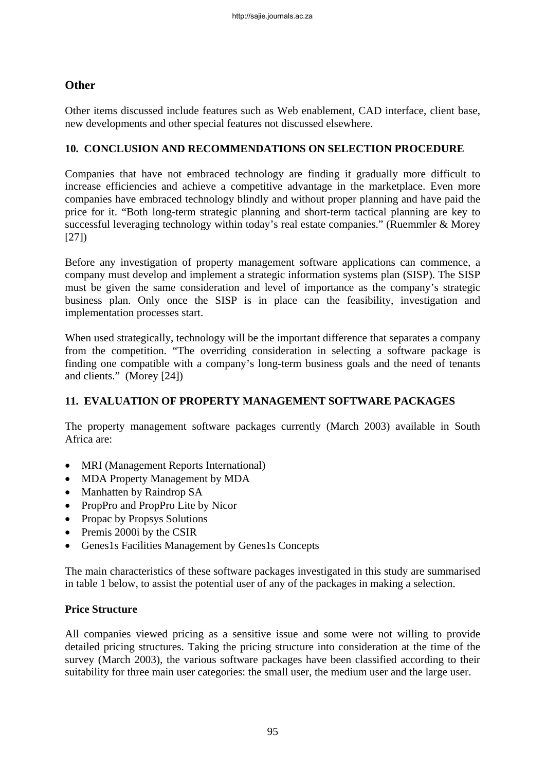# **Other**

Other items discussed include features such as Web enablement, CAD interface, client base, new developments and other special features not discussed elsewhere.

### **10. CONCLUSION AND RECOMMENDATIONS ON SELECTION PROCEDURE**

Companies that have not embraced technology are finding it gradually more difficult to increase efficiencies and achieve a competitive advantage in the marketplace. Even more companies have embraced technology blindly and without proper planning and have paid the price for it. "Both long-term strategic planning and short-term tactical planning are key to successful leveraging technology within today's real estate companies." (Ruemmler & Morey [27])

Before any investigation of property management software applications can commence, a company must develop and implement a strategic information systems plan (SISP). The SISP must be given the same consideration and level of importance as the company's strategic business plan. Only once the SISP is in place can the feasibility, investigation and implementation processes start.

When used strategically, technology will be the important difference that separates a company from the competition. "The overriding consideration in selecting a software package is finding one compatible with a company's long-term business goals and the need of tenants and clients." (Morey [24])

## **11. EVALUATION OF PROPERTY MANAGEMENT SOFTWARE PACKAGES**

The property management software packages currently (March 2003) available in South Africa are:

- MRI (Management Reports International)
- MDA Property Management by MDA
- Manhatten by Raindrop SA
- PropPro and PropPro Lite by Nicor
- Propac by Propsys Solutions
- Premis 2000i by the CSIR
- Genes1s Facilities Management by Genes1s Concepts

The main characteristics of these software packages investigated in this study are summarised in table 1 below, to assist the potential user of any of the packages in making a selection.

#### **Price Structure**

All companies viewed pricing as a sensitive issue and some were not willing to provide detailed pricing structures. Taking the pricing structure into consideration at the time of the survey (March 2003), the various software packages have been classified according to their suitability for three main user categories: the small user, the medium user and the large user.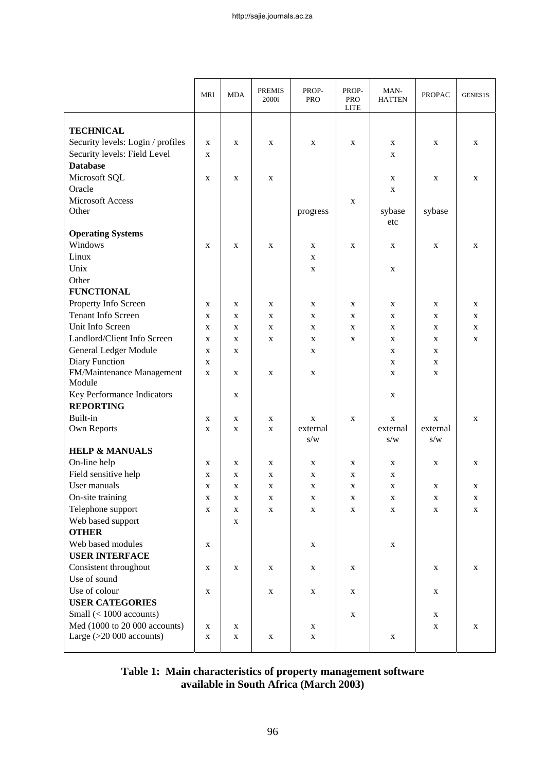|                                                             | MRI         | <b>MDA</b>  | <b>PREMIS</b><br>2000i | PROP-<br><b>PRO</b> | PROP-<br><b>PRO</b><br><b>LITE</b> | MAN-<br><b>HATTEN</b> | <b>PROPAC</b> | GENES1S     |
|-------------------------------------------------------------|-------------|-------------|------------------------|---------------------|------------------------------------|-----------------------|---------------|-------------|
|                                                             |             |             |                        |                     |                                    |                       |               |             |
| <b>TECHNICAL</b>                                            |             |             |                        |                     |                                    |                       |               |             |
| Security levels: Login / profiles                           | X           | X           | X                      | X                   | X                                  | X                     | X             | X           |
| Security levels: Field Level                                | X           |             |                        |                     |                                    | $\mathbf{x}$          |               |             |
| <b>Database</b>                                             |             |             |                        |                     |                                    |                       |               |             |
| Microsoft SQL                                               | $\mathbf X$ | $\mathbf X$ | X                      |                     |                                    | $\mathbf X$           | $\mathbf X$   | X           |
| Oracle                                                      |             |             |                        |                     |                                    | $\mathbf X$           |               |             |
| <b>Microsoft Access</b>                                     |             |             |                        |                     | X                                  |                       |               |             |
| Other                                                       |             |             |                        | progress            |                                    | sybase<br>etc         | sybase        |             |
| <b>Operating Systems</b>                                    |             |             |                        |                     |                                    |                       |               |             |
| Windows                                                     | X           | X           | X                      | X                   | X                                  | X                     | X             | X           |
| Linux                                                       |             |             |                        | X                   |                                    |                       |               |             |
| Unix                                                        |             |             |                        | X                   |                                    | X                     |               |             |
| Other                                                       |             |             |                        |                     |                                    |                       |               |             |
| <b>FUNCTIONAL</b>                                           |             |             |                        |                     |                                    |                       |               |             |
| Property Info Screen                                        | X           | X           | X                      | X                   | X                                  | $\mathbf{X}$          | X             | X           |
| <b>Tenant Info Screen</b>                                   | X           | X           | X                      | X                   | X                                  | X                     | X             | X           |
| Unit Info Screen                                            | X           | X           | X                      | X                   | X                                  | X                     | $\mathbf X$   | X           |
| Landlord/Client Info Screen                                 | X           | X           | X                      | X                   | X                                  | X                     | X             | $\mathbf X$ |
| General Ledger Module                                       | X           | X           |                        | X                   |                                    | X                     | X             |             |
| Diary Function                                              | X           |             |                        |                     |                                    | X                     | X             |             |
| FM/Maintenance Management                                   | X           | X           | X                      | X                   |                                    | X                     | X             |             |
| Module                                                      |             |             |                        |                     |                                    |                       |               |             |
| Key Performance Indicators                                  |             | X           |                        |                     |                                    | X                     |               |             |
| <b>REPORTING</b>                                            |             |             |                        |                     |                                    |                       |               |             |
| Built-in                                                    | X           | X           | X                      | X                   | $\mathbf X$                        | X                     | X             | X           |
| Own Reports                                                 | X           | X           | X                      | external            |                                    | external              | external      |             |
|                                                             |             |             |                        | s/w                 |                                    | s/w                   | s/w           |             |
| <b>HELP &amp; MANUALS</b>                                   |             |             |                        |                     |                                    |                       |               |             |
| On-line help                                                | X           | X           | X                      | X                   | X                                  | X                     | X             | X           |
| Field sensitive help                                        | X           | X           | X                      | X                   | X                                  | $\mathbf X$           |               |             |
| User manuals                                                | X           | X           | X                      | X                   | X                                  | X                     | X             | X           |
| On-site training                                            | X           | $\mathbf X$ | $\mathbf X$            | $\mathbf X$         | X                                  | $\mathbf X$           | X             | X           |
| Telephone support                                           | $\mathbf X$ | $\mathbf X$ | X                      | X                   | X                                  | $\mathbf X$           | X             | $\mathbf X$ |
| Web based support                                           |             | X           |                        |                     |                                    |                       |               |             |
| <b>OTHER</b>                                                |             |             |                        |                     |                                    |                       |               |             |
| Web based modules                                           | X           |             |                        | X                   |                                    | X                     |               |             |
| <b>USER INTERFACE</b>                                       |             |             |                        |                     |                                    |                       |               |             |
| Consistent throughout                                       | $\mathbf X$ | $\mathbf X$ | X                      | X                   | X                                  |                       | X             | $\mathbf X$ |
| Use of sound                                                |             |             |                        |                     |                                    |                       |               |             |
| Use of colour                                               | $\mathbf X$ |             | X                      | X                   | X                                  |                       | X             |             |
| <b>USER CATEGORIES</b>                                      |             |             |                        |                     |                                    |                       |               |             |
| Small $(< 1000$ accounts)                                   |             |             |                        |                     | X                                  |                       | X             |             |
| Med (1000 to 20 000 accounts)<br>Large $(>20 000$ accounts) | X           | X           |                        | X                   |                                    |                       | X             | X           |
|                                                             | X           | X           | X                      | X                   |                                    | X                     |               |             |

**Table 1: Main characteristics of property management software available in South Africa (March 2003)**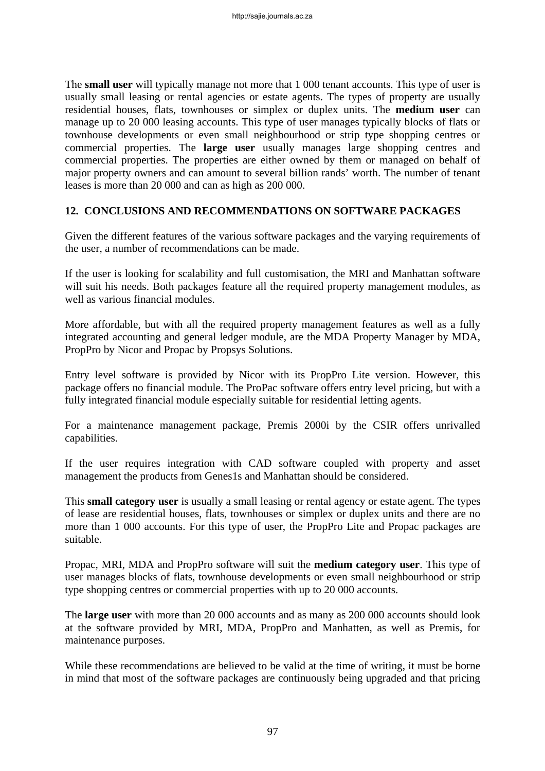The **small user** will typically manage not more that 1 000 tenant accounts. This type of user is usually small leasing or rental agencies or estate agents. The types of property are usually residential houses, flats, townhouses or simplex or duplex units. The **medium user** can manage up to 20 000 leasing accounts. This type of user manages typically blocks of flats or townhouse developments or even small neighbourhood or strip type shopping centres or commercial properties. The **large user** usually manages large shopping centres and commercial properties. The properties are either owned by them or managed on behalf of major property owners and can amount to several billion rands' worth. The number of tenant leases is more than 20 000 and can as high as 200 000.

## **12. CONCLUSIONS AND RECOMMENDATIONS ON SOFTWARE PACKAGES**

Given the different features of the various software packages and the varying requirements of the user, a number of recommendations can be made.

If the user is looking for scalability and full customisation, the MRI and Manhattan software will suit his needs. Both packages feature all the required property management modules, as well as various financial modules.

More affordable, but with all the required property management features as well as a fully integrated accounting and general ledger module, are the MDA Property Manager by MDA, PropPro by Nicor and Propac by Propsys Solutions.

Entry level software is provided by Nicor with its PropPro Lite version. However, this package offers no financial module. The ProPac software offers entry level pricing, but with a fully integrated financial module especially suitable for residential letting agents.

For a maintenance management package, Premis 2000i by the CSIR offers unrivalled capabilities.

If the user requires integration with CAD software coupled with property and asset management the products from Genes1s and Manhattan should be considered.

This **small category user** is usually a small leasing or rental agency or estate agent. The types of lease are residential houses, flats, townhouses or simplex or duplex units and there are no more than 1 000 accounts. For this type of user, the PropPro Lite and Propac packages are suitable.

Propac, MRI, MDA and PropPro software will suit the **medium category user**. This type of user manages blocks of flats, townhouse developments or even small neighbourhood or strip type shopping centres or commercial properties with up to 20 000 accounts.

The **large user** with more than 20 000 accounts and as many as 200 000 accounts should look at the software provided by MRI, MDA, PropPro and Manhatten, as well as Premis, for maintenance purposes.

While these recommendations are believed to be valid at the time of writing, it must be borne in mind that most of the software packages are continuously being upgraded and that pricing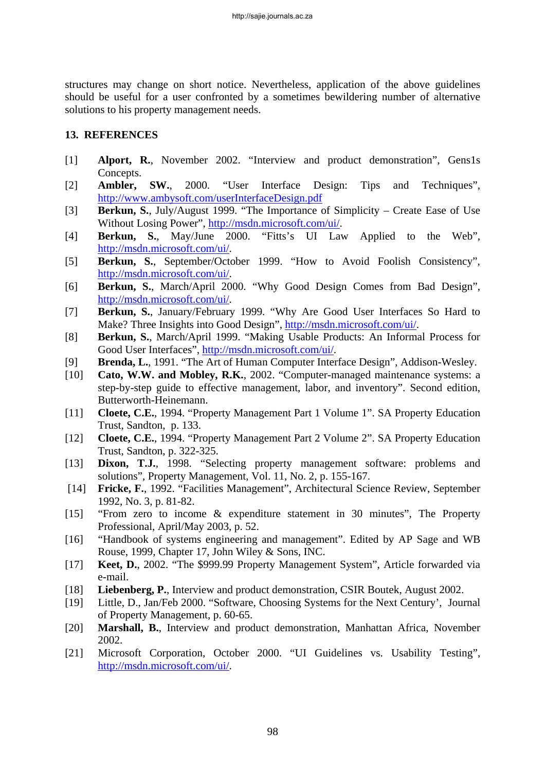structures may change on short notice. Nevertheless, application of the above guidelines should be useful for a user confronted by a sometimes bewildering number of alternative solutions to his property management needs.

### **13. REFERENCES**

- [1] **Alport, R.**, November 2002. "Interview and product demonstration", Gens1s Concepts.
- [2] **Ambler, SW.**, 2000. "User Interface Design: Tips and Techniques", <http://www.ambysoft.com/userInterfaceDesign.pdf>
- [3] **Berkun, S.**, July/August 1999. "The Importance of Simplicity Create Ease of Use Without Losing Power", [http://msdn.microsoft.com/ui/.](http://msdn.microsoft.com/ui/)
- [4] **Berkun, S.**, May/June 2000. "Fitts's UI Law Applied to the Web", <http://msdn.microsoft.com/ui/>.
- [5] **Berkun, S.**, September/October 1999. "How to Avoid Foolish Consistency", <http://msdn.microsoft.com/ui/>.
- [6] **Berkun, S.**, March/April 2000. "Why Good Design Comes from Bad Design", <http://msdn.microsoft.com/ui/>.
- [7] **Berkun, S.**, January/February 1999. "Why Are Good User Interfaces So Hard to Make? Three Insights into Good Design", [http://msdn.microsoft.com/ui/.](http://msdn.microsoft.com/ui/)
- [8] **Berkun, S.**, March/April 1999. "Making Usable Products: An Informal Process for Good User Interfaces", <http://msdn.microsoft.com/ui/>.
- [9] **Brenda, L.**, 1991. "The Art of Human Computer Interface Design", Addison-Wesley.
- [10] **Cato, W.W. and Mobley, R.K.**, 2002. "Computer-managed maintenance systems: a step-by-step guide to effective management, labor, and inventory". Second edition, Butterworth-Heinemann.
- [11] **Cloete, C.E.**, 1994. "Property Management Part 1 Volume 1". SA Property Education Trust, Sandton, p. 133.
- [12] **Cloete, C.E.**, 1994. "Property Management Part 2 Volume 2". SA Property Education Trust, Sandton, p. 322-325.
- [13] **Dixon, T.J.**, 1998. "Selecting property management software: problems and solutions", Property Management, Vol. 11, No. 2, p. 155-167.
- [14] **Fricke, F.**, 1992. "Facilities Management", Architectural Science Review, September 1992, No. 3, p. 81-82.
- [15] "From zero to income & expenditure statement in 30 minutes", The Property Professional, April/May 2003, p. 52.
- [16] "Handbook of systems engineering and management". Edited by AP Sage and WB Rouse, 1999, Chapter 17, John Wiley & Sons, INC.
- [17] **Keet, D.**, 2002. "The \$999.99 Property Management System", Article forwarded via e-mail.
- [18] **Liebenberg, P.**, Interview and product demonstration, CSIR Boutek, August 2002.
- [19] Little, D., Jan/Feb 2000. "Software, Choosing Systems for the Next Century', Journal of Property Management, p. 60-65.
- [20] **Marshall, B.**, Interview and product demonstration, Manhattan Africa, November 2002.
- [21] Microsoft Corporation, October 2000. "UI Guidelines vs. Usability Testing", <http://msdn.microsoft.com/ui/>.